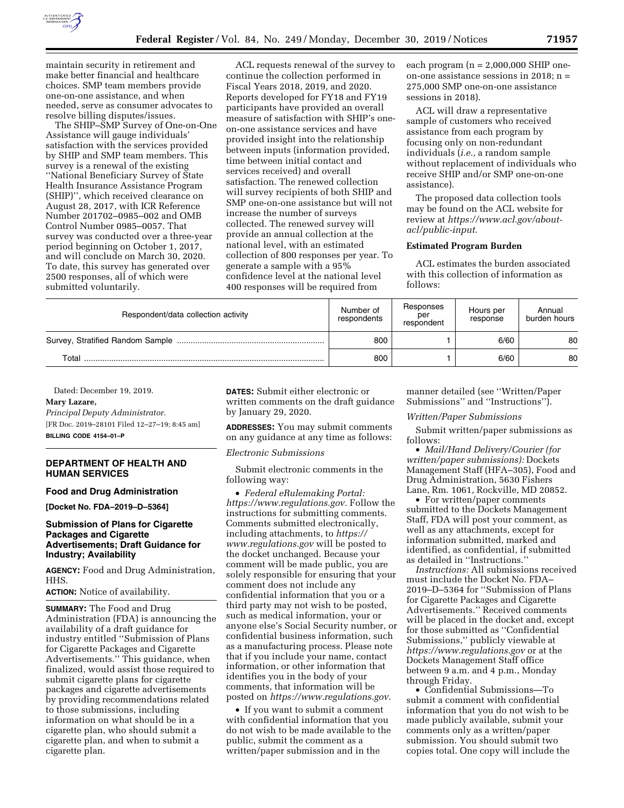

maintain security in retirement and make better financial and healthcare choices. SMP team members provide one-on-one assistance, and when needed, serve as consumer advocates to resolve billing disputes/issues.

The SHIP–SMP Survey of One-on-One Assistance will gauge individuals' satisfaction with the services provided by SHIP and SMP team members. This survey is a renewal of the existing ''National Beneficiary Survey of State Health Insurance Assistance Program (SHIP)'', which received clearance on August 28, 2017, with ICR Reference Number 201702–0985–002 and OMB Control Number 0985–0057. That survey was conducted over a three-year period beginning on October 1, 2017, and will conclude on March 30, 2020. To date, this survey has generated over 2500 responses, all of which were submitted voluntarily.

ACL requests renewal of the survey to continue the collection performed in Fiscal Years 2018, 2019, and 2020. Reports developed for FY18 and FY19 participants have provided an overall measure of satisfaction with SHIP's oneon-one assistance services and have provided insight into the relationship between inputs (information provided, time between initial contact and services received) and overall satisfaction. The renewed collection will survey recipients of both SHIP and SMP one-on-one assistance but will not increase the number of surveys collected. The renewed survey will provide an annual collection at the national level, with an estimated collection of 800 responses per year. To generate a sample with a 95% confidence level at the national level 400 responses will be required from

each program  $(n = 2,000,000 \text{ SHIP})$ on-one assistance sessions in 2018; n = 275,000 SMP one-on-one assistance sessions in 2018).

ACL will draw a representative sample of customers who received assistance from each program by focusing only on non-redundant individuals (*i.e.,* a random sample without replacement of individuals who receive SHIP and/or SMP one-on-one assistance).

The proposed data collection tools may be found on the ACL website for review at *[https://www.acl.gov/about](https://www.acl.gov/about-acl/public-input)[acl/public-input.](https://www.acl.gov/about-acl/public-input)* 

### **Estimated Program Burden**

ACL estimates the burden associated with this collection of information as follows:

| Respondent/data collection activity | Number of<br>respondents | Responses<br>per<br>respondent | Hours per<br>response | Annual<br>burden hours |
|-------------------------------------|--------------------------|--------------------------------|-----------------------|------------------------|
|                                     | 800                      |                                | 6/60                  | 80                     |
| Total                               | 800                      |                                | 6/60                  | 80                     |

Dated: December 19, 2019.

# **Mary Lazare,**

*Principal Deputy Administrator.*  [FR Doc. 2019–28101 Filed 12–27–19; 8:45 am] **BILLING CODE 4154–01–P** 

### **DEPARTMENT OF HEALTH AND HUMAN SERVICES**

### **Food and Drug Administration**

**[Docket No. FDA–2019–D–5364]** 

## **Submission of Plans for Cigarette Packages and Cigarette Advertisements; Draft Guidance for Industry; Availability**

**AGENCY:** Food and Drug Administration, HHS.

**ACTION:** Notice of availability.

**SUMMARY:** The Food and Drug Administration (FDA) is announcing the availability of a draft guidance for industry entitled ''Submission of Plans for Cigarette Packages and Cigarette Advertisements.'' This guidance, when finalized, would assist those required to submit cigarette plans for cigarette packages and cigarette advertisements by providing recommendations related to those submissions, including information on what should be in a cigarette plan, who should submit a cigarette plan, and when to submit a cigarette plan.

**DATES:** Submit either electronic or written comments on the draft guidance by January 29, 2020.

**ADDRESSES:** You may submit comments on any guidance at any time as follows:

*Electronic Submissions* 

Submit electronic comments in the following way:

• *Federal eRulemaking Portal: [https://www.regulations.gov.](https://www.regulations.gov)* Follow the instructions for submitting comments. Comments submitted electronically, including attachments, to *[https://](https://www.regulations.gov) [www.regulations.gov](https://www.regulations.gov)* will be posted to the docket unchanged. Because your comment will be made public, you are solely responsible for ensuring that your comment does not include any confidential information that you or a third party may not wish to be posted, such as medical information, your or anyone else's Social Security number, or confidential business information, such as a manufacturing process. Please note that if you include your name, contact information, or other information that identifies you in the body of your comments, that information will be posted on *[https://www.regulations.gov.](https://www.regulations.gov)* 

• If you want to submit a comment with confidential information that you do not wish to be made available to the public, submit the comment as a written/paper submission and in the

manner detailed (see ''Written/Paper Submissions'' and ''Instructions'').

### *Written/Paper Submissions*

Submit written/paper submissions as follows:

• *Mail/Hand Delivery/Courier (for written/paper submissions):* Dockets Management Staff (HFA–305), Food and Drug Administration, 5630 Fishers Lane, Rm. 1061, Rockville, MD 20852.

• For written/paper comments submitted to the Dockets Management Staff, FDA will post your comment, as well as any attachments, except for information submitted, marked and identified, as confidential, if submitted as detailed in ''Instructions.''

*Instructions:* All submissions received must include the Docket No. FDA– 2019–D–5364 for ''Submission of Plans for Cigarette Packages and Cigarette Advertisements.'' Received comments will be placed in the docket and, except for those submitted as ''Confidential Submissions,'' publicly viewable at *<https://www.regulations.gov>* or at the Dockets Management Staff office between 9 a.m. and 4 p.m., Monday through Friday.

• Confidential Submissions—To submit a comment with confidential information that you do not wish to be made publicly available, submit your comments only as a written/paper submission. You should submit two copies total. One copy will include the